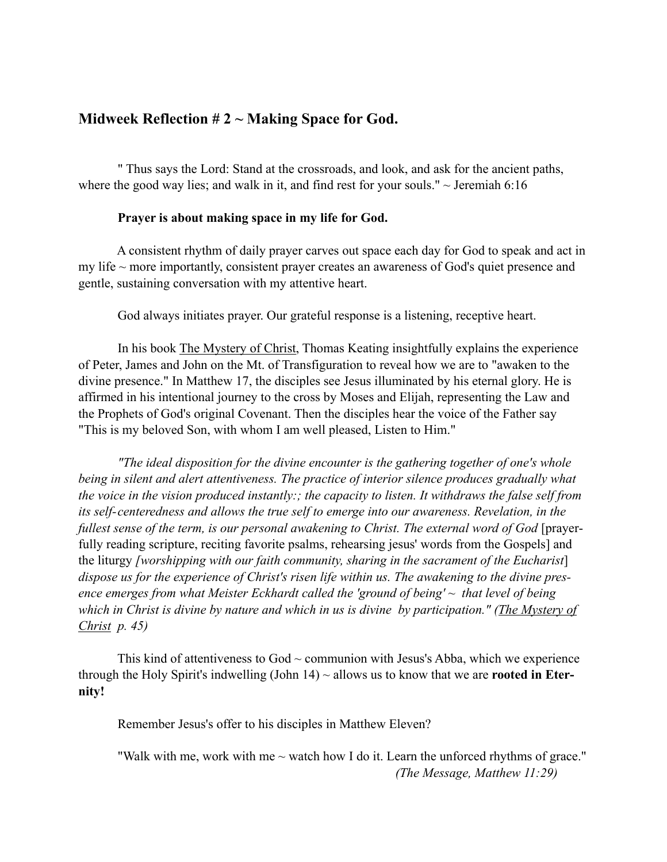## **Midweek Reflection # 2 ~ Making Space for God.**

" Thus says the Lord: Stand at the crossroads, and look, and ask for the ancient paths, where the good way lies; and walk in it, and find rest for your souls."  $\sim$  Jeremiah 6:16

## **Prayer is about making space in my life for God.**

A consistent rhythm of daily prayer carves out space each day for God to speak and act in my life  $\sim$  more importantly, consistent prayer creates an awareness of God's quiet presence and gentle, sustaining conversation with my attentive heart.

God always initiates prayer. Our grateful response is a listening, receptive heart.

In his book The Mystery of Christ, Thomas Keating insightfully explains the experience of Peter, James and John on the Mt. of Transfiguration to reveal how we are to "awaken to the divine presence." In Matthew 17, the disciples see Jesus illuminated by his eternal glory. He is affirmed in his intentional journey to the cross by Moses and Elijah, representing the Law and the Prophets of God's original Covenant. Then the disciples hear the voice of the Father say "This is my beloved Son, with whom I am well pleased, Listen to Him."

*"The ideal disposition for the divine encounter is the gathering together of one's whole being in silent and alert attentiveness. The practice of interior silence produces gradually what the voice in the vision produced instantly:; the capacity to listen. It withdraws the false self from its self- centeredness and allows the true self to emerge into our awareness. Revelation, in the fullest sense of the term, is our personal awakening to Christ. The external word of God* [prayerfully reading scripture, reciting favorite psalms, rehearsing jesus' words from the Gospels] and the liturgy *[worshipping with our faith community, sharing in the sacrament of the Eucharist*] *dispose us for the experience of Christ's risen life within us. The awakening to the divine presence emerges from what Meister Eckhardt called the 'ground of being' ~ that level of being which in Christ is divine by nature and which in us is divine by participation." (The Mystery of Christ p. 45)*

This kind of attentiveness to  $God \sim$  communion with Jesus's Abba, which we experience through the Holy Spirit's indwelling (John 14) ~ allows us to know that we are **rooted in Eternity!**

Remember Jesus's offer to his disciples in Matthew Eleven?

"Walk with me, work with me  $\sim$  watch how I do it. Learn the unforced rhythms of grace."  *(The Message, Matthew 11:29)*